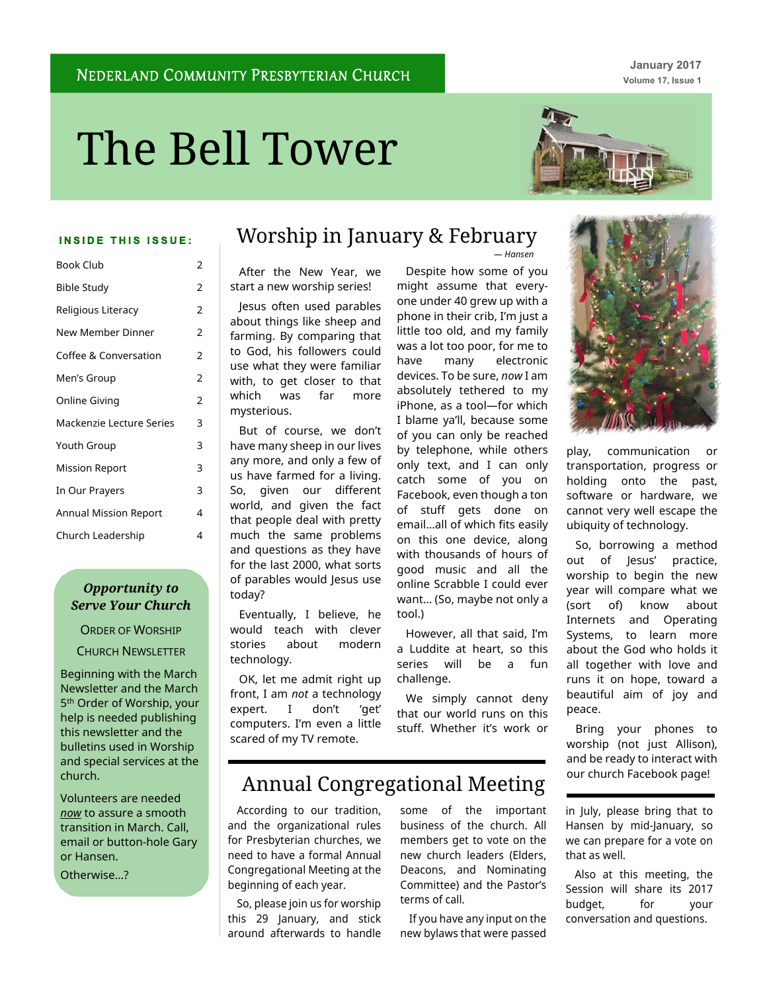**January 2017 Volume 17, Issue 1**

# The Bell Tower



#### **INSIDE THIS ISSUE:**

| <b>Book Club</b>         | 2              |
|--------------------------|----------------|
| <b>Bible Study</b>       | 2              |
| Religious Literacy       | 2              |
| New Member Dinner        | 2              |
| Coffee & Conversation    | 2              |
| Men's Group              | $\overline{2}$ |
| Online Giving            | $\overline{2}$ |
| Mackenzie Lecture Series | 3              |
| Youth Group              | 3              |
| <b>Mission Report</b>    | 3              |
| In Our Prayers           | 3              |
| Annual Mission Report    | 4              |
| Church Leadership        | 4              |

### *Opportunity to Serve Your Church*

ORDER OF WORSHIP CHURCH NEWSLETTER

Beginning with the March Newsletter and the March 5<sup>th</sup> Order of Worship, your help is needed publishing this newsletter and the bulletins used in Worship and special services at the church.

Volunteers are needed *now* to assure a smooth transition in March. Call, email or button-hole Gary or Hansen.

Otherwise…?

# Worship in January & February

After the New Year, we start a new worship series!

Jesus often used parables about things like sheep and farming. By comparing that to God, his followers could use what they were familiar with, to get closer to that which was far more mysterious.

But of course, we don't have many sheep in our lives any more, and only a few of us have farmed for a living. So, given our different world, and given the fact that people deal with pretty much the same problems and questions as they have for the last 2000, what sorts of parables would Jesus use today?

Eventually, I believe, he would teach with clever stories about modern technology.

OK, let me admit right up front, I am *not* a technology expert. I don't 'get' computers. I'm even a little scared of my TV remote.

Despite how some of you might assume that everyone under 40 grew up with a phone in their crib, I'm just a little too old, and my family was a lot too poor, for me to have many electronic devices. To be sure, *now* I am absolutely tethered to my iPhone, as a tool—for which I blame ya'll, because some of you can only be reached by telephone, while others only text, and I can only catch some of you on Facebook, even though a ton of stuff gets done on email…all of which fits easily on this one device, along with thousands of hours of good music and all the online Scrabble I could ever want… (So, maybe not only a tool.)

*— Hansen*

However, all that said, I'm a Luddite at heart, so this series will be a fun challenge.

We simply cannot deny that our world runs on this stuff. Whether it's work or

# Annual Congregational Meeting

According to our tradition, and the organizational rules for Presbyterian churches, we need to have a formal Annual Congregational Meeting at the beginning of each year.

So, please join us for worship this 29 January, and stick around afterwards to handle

some of the important business of the church. All members get to vote on the new church leaders (Elders, Deacons, and Nominating Committee) and the Pastor's terms of call.

If you have any input on the new bylaws that were passed



play, communication or transportation, progress or holding onto the past, software or hardware, we cannot very well escape the ubiquity of technology.

So, borrowing a method out of Jesus' practice, worship to begin the new year will compare what we (sort of) know about Internets and Operating Systems, to learn more about the God who holds it all together with love and runs it on hope, toward a beautiful aim of joy and peace.

Bring your phones to worship (not just Allison), and be ready to interact with our church Facebook page!

in July, please bring that to Hansen by mid-January, so we can prepare for a vote on that as well.

Also at this meeting, the Session will share its 2017 budget, for your conversation and questions.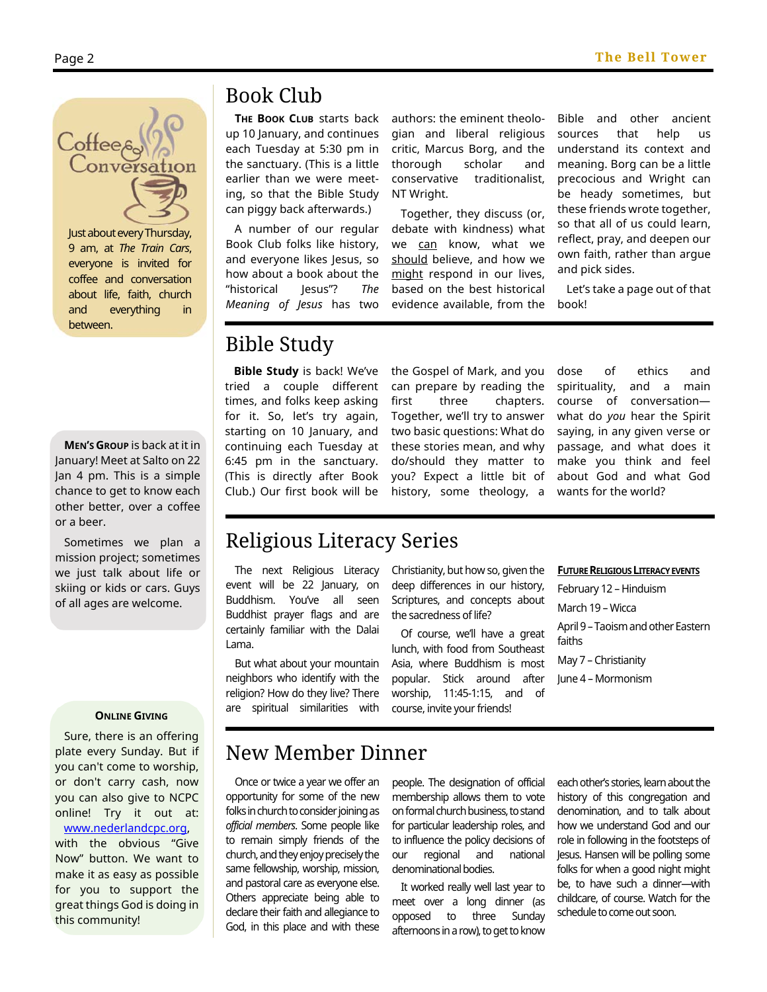

Just about every Thursday, 9 am, at *The Train Cars*, everyone is invited for coffee and conversation about life, faith, church and everything in between.

**MEN'S GROUP** is back at it in January! Meet at Salto on 22 Jan 4 pm. This is a simple chance to get to know each other better, over a coffee or a beer.

Sometimes we plan a mission project; sometimes we just talk about life or skiing or kids or cars. Guys of all ages are welcome.

#### **ONLINE GIVING**

Sure, there is an offering plate every Sunday. But if you can't come to worship, or don't carry cash, now you can also give to NCPC online! Try it out at: www.nederlandcpc.org,

with the obvious "Give Now" button. We want to make it as easy as possible for you to support the great things God is doing in this community!

# Book Club

**THE BOOK CLUB** starts back up 10 January, and continues each Tuesday at 5:30 pm in the sanctuary. (This is a little earlier than we were meeting, so that the Bible Study can piggy back afterwards.)

A number of our regular Book Club folks like history, and everyone likes Jesus, so how about a book about the "historical Jesus"? *The Meaning of Jesus* has two authors: the eminent theologian and liberal religious critic, Marcus Borg, and the thorough scholar and conservative traditionalist, NT Wright.

Together, they discuss (or, debate with kindness) what we can know, what we should believe, and how we might respond in our lives, based on the best historical evidence available, from the Bible and other ancient sources that help us understand its context and meaning. Borg can be a little precocious and Wright can be heady sometimes, but these friends wrote together, so that all of us could learn, reflect, pray, and deepen our own faith, rather than argue and pick sides.

Let's take a page out of that book!

# Bible Study

**Bible Study** is back! We've tried a couple different times, and folks keep asking for it. So, let's try again, starting on 10 January, and continuing each Tuesday at 6:45 pm in the sanctuary. (This is directly after Book Club.) Our first book will be

the Gospel of Mark, and you can prepare by reading the first three chapters. Together, we'll try to answer two basic questions: What do these stories mean, and why do/should they matter to you? Expect a little bit of history, some theology, a dose of ethics and spirituality, and a main course of conversation what do *you* hear the Spirit saying, in any given verse or passage, and what does it make you think and feel about God and what God wants for the world?

# Religious Literacy Series

The next Religious Literacy event will be 22 January, on Buddhism. You've all seen Buddhist prayer flags and are certainly familiar with the Dalai Lama.

But what about your mountain neighbors who identify with the religion? How do they live? There are spiritual similarities with Christianity, but how so, given the deep differences in our history, Scriptures, and concepts about the sacredness of life?

Of course, we'll have a great lunch, with food from Southeast Asia, where Buddhism is most popular. Stick around after worship, 11:45-1:15, and of course, invite your friends!

#### **FUTURE RELIGIOUS LITERACY EVENTS**

February 12 – Hinduism March 19 – Wicca April 9 – Taoism and other Eastern faiths May 7 – Christianity June 4 – Mormonism

# New Member Dinner

Once or twice a year we offer an opportunity for some of the new folks in church to consider joining as *official members*. Some people like to remain simply friends of the church, and they enjoy precisely the same fellowship, worship, mission, and pastoral care as everyone else. Others appreciate being able to declare their faith and allegiance to God, in this place and with these

people. The designation of official membership allows them to vote on formal church business, to stand for particular leadership roles, and to influence the policy decisions of our regional and national denominational bodies.

It worked really well last year to meet over a long dinner (as opposed to three Sunday afternoons in a row), to get to know each other's stories, learn about the history of this congregation and denomination, and to talk about how we understand God and our role in following in the footsteps of Jesus. Hansen will be polling some folks for when a good night might be, to have such a dinner—with childcare, of course. Watch for the schedule to come out soon.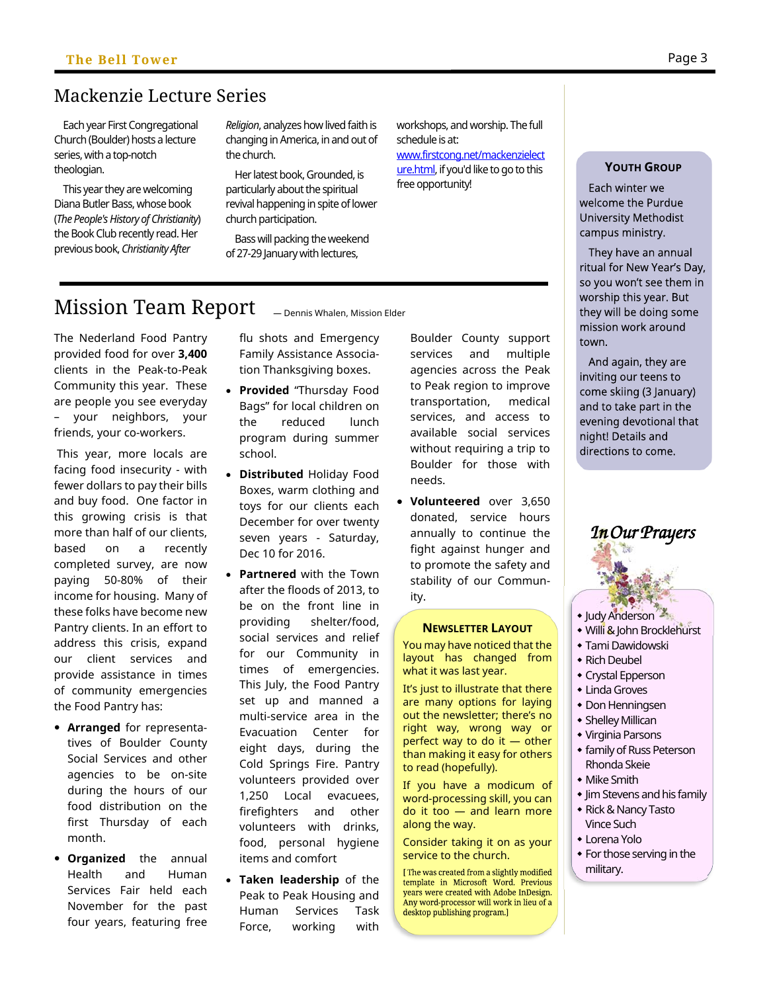# Mackenzie Lecture Series

Each year First Congregational Church (Boulder) hosts a lecture series, with a top-notch theologian.

This year they are welcoming Diana Butler Bass, whose book (*The People's History of Christianity*) the Book Club recently read. Her previous book, *Christianity After* 

*Religion*, analyzes how lived faith is changing in America, in and out of the church.

Her latest book, Grounded, is particularly about the spiritual revival happening in spite of lower church participation.

Bass will packing the weekend of 27-29 January with lectures,

workshops, and worship. The full schedule is at: www.firstcong.net/mackenzielect

ure.html, if you'd like to go to this free opportunity!

# Mission Team Report

The Nederland Food Pantry provided food for over **3,400** clients in the Peak-to-Peak Community this year. These are people you see everyday – your neighbors, your friends, your co-workers.

 This year, more locals are facing food insecurity - with fewer dollars to pay their bills and buy food. One factor in this growing crisis is that more than half of our clients, based on a recently completed survey, are now paying 50-80% of their income for housing. Many of these folks have become new Pantry clients. In an effort to address this crisis, expand our client services and provide assistance in times of community emergencies the Food Pantry has:

- **Arranged** for representatives of Boulder County Social Services and other agencies to be on-site during the hours of our food distribution on the first Thursday of each month.
- **Organized** the annual Health and Human Services Fair held each November for the past four years, featuring free

flu shots and Emergency Family Assistance Association Thanksgiving boxes.

*—* Dennis Whalen, Mission Elder

- **Provided** "Thursday Food Bags" for local children on the reduced lunch program during summer school.
- **Distributed** Holiday Food Boxes, warm clothing and toys for our clients each December for over twenty seven years - Saturday, Dec 10 for 2016.
- **Partnered** with the Town after the floods of 2013, to be on the front line in providing shelter/food, social services and relief for our Community in times of emergencies. This July, the Food Pantry set up and manned a multi-service area in the Evacuation Center for eight days, during the Cold Springs Fire. Pantry volunteers provided over 1,250 Local evacuees, firefighters and other volunteers with drinks, food, personal hygiene items and comfort
- **Taken leadership** of the Peak to Peak Housing and Human Services Task Force, working with

Boulder County support services and multiple agencies across the Peak to Peak region to improve transportation, medical services, and access to available social services without requiring a trip to Boulder for those with needs.

 **Volunteered** over 3,650 donated, service hours annually to continue the fight against hunger and to promote the safety and stability of our Community.

#### **NEWSLETTER LAYOUT**

You may have noticed that the layout has changed from what it was last year.

It's just to illustrate that there are many options for laying out the newsletter; there's no right way, wrong way or perfect way to do it — other than making it easy for others to read (hopefully).

If you have a modicum of word-processing skill, you can do it too — and learn more along the way.

Consider taking it on as your service to the church.

[The was created from a slightly modified template in Microsoft Word. Previous years were created with Adobe InDesign. Any word-processor will work in lieu of a desktop publishing program.]

### **YOUTH GROUP**

Each winter we welcome the Purdue University Methodist campus ministry.

They have an annual ritual for New Year's Day, so you won't see them in worship this year. But they will be doing some mission work around town.

And again, they are inviting our teens to come skiing (3 January) and to take part in the evening devotional that night! Details and directions to come.

In Our Prayers

- **Judy Anderson**
- Willi & John Brocklehurst
- Tami Dawidowski
- Rich Deubel
- Crystal Epperson
- Linda Groves
- Don Henningsen
- Shelley Millican Virginia Parsons
- **\*** family of Russ Peterson Rhonda Skeie
- Mike Smith
- **Jim Stevens and his family**
- Rick & Nancy Tasto Vince Such
- Lorena Yolo
- For those serving in the military.